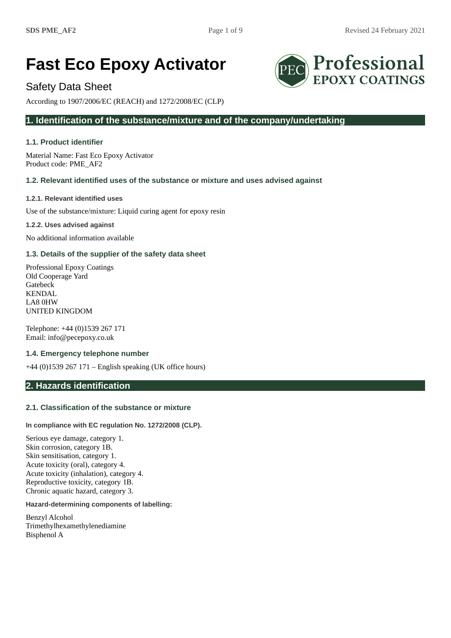# **Fast Eco Epoxy Activator**

# Safety Data Sheet

According to 1907/2006/EC (REACH) and 1272/2008/EC (CLP)

# **1. Identification of the substance/mixture and of the company/undertaking**

# **1.1. Product identifier**

Material Name: Fast Eco Epoxy Activator Product code: PME\_AF2

# **1.2. Relevant identified uses of the substance or mixture and uses advised against**

## **1.2.1. Relevant identified uses**

Use of the substance/mixture: Liquid curing agent for epoxy resin

**1.2.2. Uses advised against**

No additional information available

# **1.3. Details of the supplier of the safety data sheet**

Professional Epoxy Coatings Old Cooperage Yard Gatebeck KENDAL LA8 0HW UNITED KINGDOM

Telephone: +44 (0)1539 267 171 Email: info@pecepoxy.co.uk

# **1.4. Emergency telephone number**

+44 (0)1539 267 171 – English speaking (UK office hours)

# **2. Hazards identification**

# **2.1. Classification of the substance or mixture**

#### **In compliance with EC regulation No. 1272/2008 (CLP).**

Serious eye damage, category 1. Skin corrosion, category 1B. Skin sensitisation, category 1. Acute toxicity (oral), category 4. Acute toxicity (inhalation), category 4. Reproductive toxicity, category 1B. Chronic aquatic hazard, category 3.

# **Hazard-determining components of labelling:**

Benzyl Alcohol Trimethylhexamethylenediamine Bisphenol A

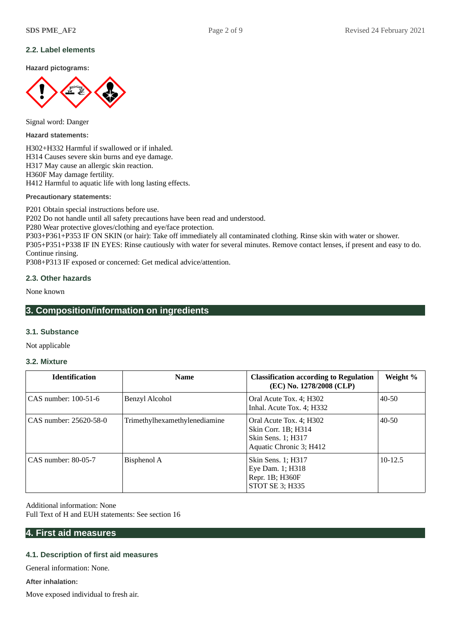## **2.2. Label elements**

**Hazard pictograms:**



Signal word: Danger

**Hazard statements:**

H302+H332 Harmful if swallowed or if inhaled. H314 Causes severe skin burns and eye damage. H317 May cause an allergic skin reaction. H360F May damage fertility. H412 Harmful to aquatic life with long lasting effects.

**Precautionary statements:**

P201 Obtain special instructions before use.

P202 Do not handle until all safety precautions have been read and understood.

P280 Wear protective gloves/clothing and eye/face protection.

P303+P361+P353 IF ON SKIN (or hair): Take off immediately all contaminated clothing. Rinse skin with water or shower. P305+P351+P338 IF IN EYES: Rinse cautiously with water for several minutes. Remove contact lenses, if present and easy to do. Continue rinsing.

P308+P313 IF exposed or concerned: Get medical advice/attention.

## **2.3. Other hazards**

None known

# **3. Composition/information on ingredients**

#### **3.1. Substance**

Not applicable

#### **3.2. Mixture**

| <b>Identification</b>  | <b>Name</b>                   | <b>Classification according to Regulation</b><br>(EC) No. 1278/2008 (CLP)                       | Weight %    |
|------------------------|-------------------------------|-------------------------------------------------------------------------------------------------|-------------|
| CAS number: 100-51-6   | Benzyl Alcohol                | Oral Acute Tox. 4; H302<br>Inhal. Acute Tox. 4; H332                                            | $40 - 50$   |
| CAS number: 25620-58-0 | Trimethylhexamethylenediamine | Oral Acute Tox. 4; H302<br>Skin Corr. 1B; H314<br>Skin Sens. 1; H317<br>Aquatic Chronic 3; H412 | $40 - 50$   |
| CAS number: 80-05-7    | Bisphenol A                   | Skin Sens. 1; H317<br>Eye Dam. 1; H318<br>Repr. 1B; H360F<br>STOT SE 3; H335                    | $10 - 12.5$ |

Additional information: None Full Text of H and EUH statements: See section 16

# **4. First aid measures**

# **4.1. Description of first aid measures**

General information: None.

**After inhalation:**

Move exposed individual to fresh air.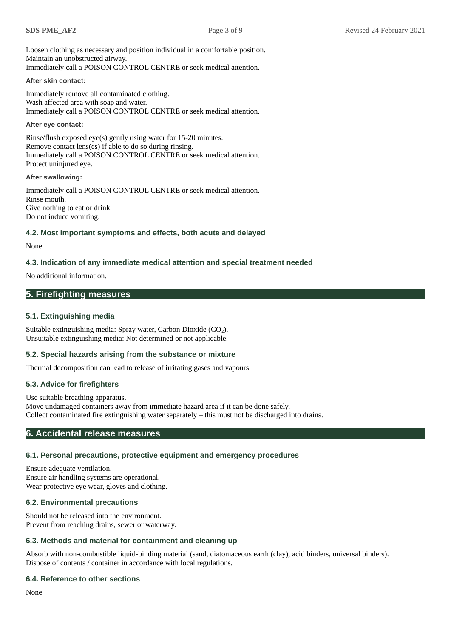Loosen clothing as necessary and position individual in a comfortable position. Maintain an unobstructed airway. Immediately call a POISON CONTROL CENTRE or seek medical attention.

#### **After skin contact:**

Immediately remove all contaminated clothing. Wash affected area with soap and water. Immediately call a POISON CONTROL CENTRE or seek medical attention.

#### **After eye contact:**

Rinse/flush exposed eye(s) gently using water for 15-20 minutes. Remove contact lens(es) if able to do so during rinsing. Immediately call a POISON CONTROL CENTRE or seek medical attention. Protect uninjured eye.

#### **After swallowing:**

Immediately call a POISON CONTROL CENTRE or seek medical attention. Rinse mouth. Give nothing to eat or drink. Do not induce vomiting.

#### **4.2. Most important symptoms and effects, both acute and delayed**

#### None

## **4.3. Indication of any immediate medical attention and special treatment needed**

No additional information.

# **5. Firefighting measures**

### **5.1. Extinguishing media**

Suitable extinguishing media: Spray water, Carbon Dioxide  $(CO_2)$ . Unsuitable extinguishing media: Not determined or not applicable.

#### **5.2. Special hazards arising from the substance or mixture**

Thermal decomposition can lead to release of irritating gases and vapours.

## **5.3. Advice for firefighters**

Use suitable breathing apparatus. Move undamaged containers away from immediate hazard area if it can be done safely. Collect contaminated fire extinguishing water separately – this must not be discharged into drains.

# **6. Accidental release measures**

# **6.1. Personal precautions, protective equipment and emergency procedures**

Ensure adequate ventilation. Ensure air handling systems are operational. Wear protective eye wear, gloves and clothing.

# **6.2. Environmental precautions**

Should not be released into the environment. Prevent from reaching drains, sewer or waterway.

# **6.3. Methods and material for containment and cleaning up**

Absorb with non-combustible liquid-binding material (sand, diatomaceous earth (clay), acid binders, universal binders). Dispose of contents / container in accordance with local regulations.

# **6.4. Reference to other sections**

None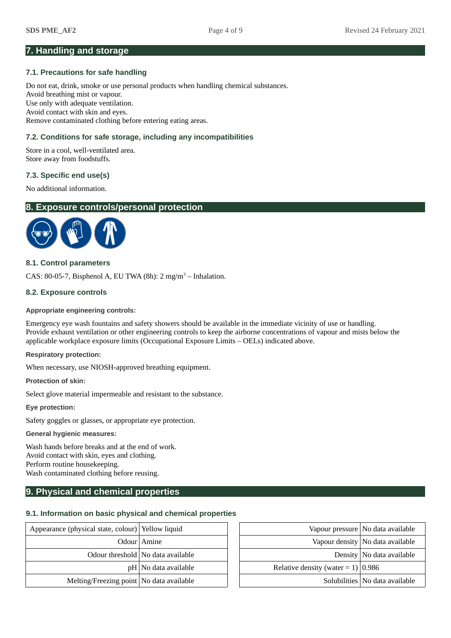# **7. Handling and storage**

#### **7.1. Precautions for safe handling**

Do not eat, drink, smoke or use personal products when handling chemical substances. Avoid breathing mist or vapour. Use only with adequate ventilation. Avoid contact with skin and eyes. Remove contaminated clothing before entering eating areas.

## **7.2. Conditions for safe storage, including any incompatibilities**

Store in a cool, well-ventilated area. Store away from foodstuffs.

## **7.3. Specific end use(s)**

No additional information.

# **8. Exposure controls/personal protection**



#### **8.1. Control parameters**

CAS: 80-05-7, Bisphenol A, EU TWA (8h):  $2 \text{ mg/m}^3$  – Inhalation.

#### **8.2. Exposure controls**

#### **Appropriate engineering controls:**

Emergency eye wash fountains and safety showers should be available in the immediate vicinity of use or handling. Provide exhaust ventilation or other engineering controls to keep the airborne concentrations of vapour and mists below the applicable workplace exposure limits (Occupational Exposure Limits – OELs) indicated above.

#### **Respiratory protection:**

When necessary, use NIOSH-approved breathing equipment.

**Protection of skin:**

Select glove material impermeable and resistant to the substance.

**Eye protection:**

Safety goggles or glasses, or appropriate eye protection.

#### **General hygienic measures:**

Wash hands before breaks and at the end of work. Avoid contact with skin, eyes and clothing. Perform routine housekeeping. Wash contaminated clothing before reusing.

# **9. Physical and chemical properties**

#### **9.1. Information on basic physical and chemical properties**

| Appearance (physical state, colour) Yellow liquid |                                     |                                         | Vapour pressure   No data available |
|---------------------------------------------------|-------------------------------------|-----------------------------------------|-------------------------------------|
|                                                   | Odour Amine                         |                                         | Vapour density No data available    |
|                                                   | Odour threshold   No data available |                                         | Density   No data available         |
|                                                   | $pH $ No data available             | Relative density (water = $1$ )   0.986 |                                     |
| Melting/Freezing point   No data available        |                                     |                                         | Solubilities   No data available    |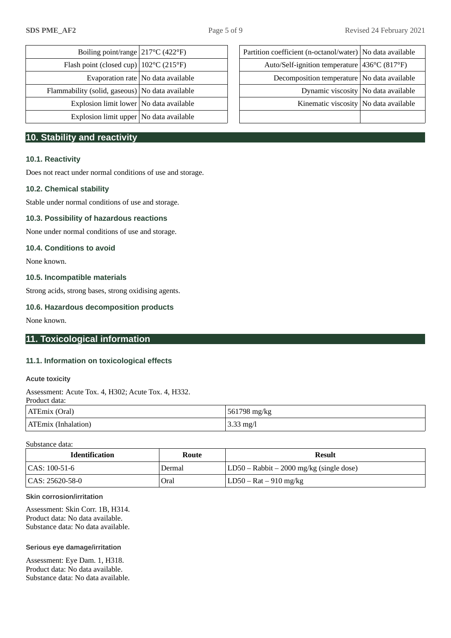| Boiling point/range $ 217^{\circ}C(422^{\circ}F) $      |                                            | Partition coefficient (n-octanol/water)   No data available       |  |
|---------------------------------------------------------|--------------------------------------------|-------------------------------------------------------------------|--|
| Flash point (closed cup) $ 102^{\circ}C(215^{\circ}F) $ |                                            | Auto/Self-ignition temperature $436^{\circ}$ C (817 $^{\circ}$ F) |  |
|                                                         | Evaporation rate $\vert$ No data available | Decomposition temperature   No data available                     |  |
| Flammability (solid, gaseous)   No data available       |                                            | Dynamic viscosity No data available                               |  |
| Explosion limit lower   No data available               |                                            | Kinematic viscosity No data available                             |  |
| Explosion limit upper   No data available               |                                            |                                                                   |  |

# **10. Stability and reactivity**

#### **10.1. Reactivity**

Does not react under normal conditions of use and storage.

#### **10.2. Chemical stability**

Stable under normal conditions of use and storage.

#### **10.3. Possibility of hazardous reactions**

None under normal conditions of use and storage.

## **10.4. Conditions to avoid**

None known.

## **10.5. Incompatible materials**

Strong acids, strong bases, strong oxidising agents.

#### **10.6. Hazardous decomposition products**

None known.

# **11. Toxicological information**

#### **11.1. Information on toxicological effects**

#### **Acute toxicity**

Assessment: Acute Tox. 4, H302; Acute Tox. 4, H332.

Product data:

| ATEmix (Oral)              | 561798 mg/kg        |
|----------------------------|---------------------|
| <b>ATEmix (Inhalation)</b> | $3.33 \text{ mg}/l$ |

Substance data:

| <b>Identification</b> | Route  | Result                                      |
|-----------------------|--------|---------------------------------------------|
| $ CAS: 100-51-6$      | Dermal | $ LD50 - Rabbit - 2000$ mg/kg (single dose) |
| CAS: 25620-58-0       | Oral   | LD50 – Rat – 910 mg/kg                      |

#### **Skin corrosion/irritation**

Assessment: Skin Corr. 1B, H314. Product data: No data available. Substance data: No data available.

#### **Serious eye damage/irritation**

Assessment: Eye Dam. 1, H318. Product data: No data available. Substance data: No data available.

| Boiling point/range $ 217^{\circ}C(422^{\circ}F) $      |                                      | Partition coefficient (n-octanol/water)   No data available |  |
|---------------------------------------------------------|--------------------------------------|-------------------------------------------------------------|--|
| Flash point (closed cup) $ 102^{\circ}C(215^{\circ}F) $ |                                      | Auto/Self-ignition temperature   436°C (817°F)              |  |
|                                                         | Evaporation rate   No data available | Decomposition temperature   No data available               |  |
| mability (solid, gaseous)   No data available           |                                      | Dynamic viscosity No data available                         |  |
| Explosion limit lower   No data available               |                                      | Kinematic viscosity   No data available                     |  |
| Explosion limit upper   No data available               |                                      |                                                             |  |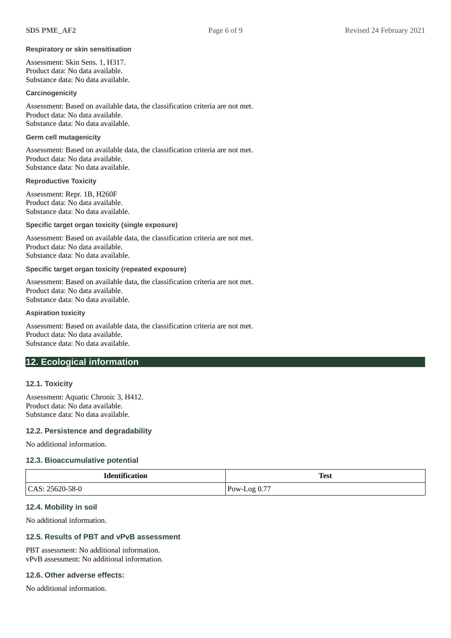#### **Respiratory or skin sensitisation**

Assessment: Skin Sens. 1, H317. Product data: No data available. Substance data: No data available.

#### **Carcinogenicity**

Assessment: Based on available data, the classification criteria are not met. Product data: No data available. Substance data: No data available.

#### **Germ cell mutagenicity**

Assessment: Based on available data, the classification criteria are not met. Product data: No data available. Substance data: No data available.

#### **Reproductive Toxicity**

Assessment: Repr. 1B, H260F Product data: No data available. Substance data: No data available.

#### **Specific target organ toxicity (single exposure)**

Assessment: Based on available data, the classification criteria are not met. Product data: No data available. Substance data: No data available.

#### **Specific target organ toxicity (repeated exposure)**

Assessment: Based on available data, the classification criteria are not met. Product data: No data available. Substance data: No data available.

#### **Aspiration toxicity**

Assessment: Based on available data, the classification criteria are not met. Product data: No data available. Substance data: No data available.

# **12. Ecological information**

#### **12.1. Toxicity**

Assessment: Aquatic Chronic 3, H412. Product data: No data available. Substance data: No data available.

#### **12.2. Persistence and degradability**

No additional information.

#### **12.3. Bioaccumulative potential**

| <b>Identification</b> | <b>Test</b>    |
|-----------------------|----------------|
| ' CAS: 25620-58-0     | $Pow-Log 0.77$ |

#### **12.4. Mobility in soil**

No additional information.

# **12.5. Results of PBT and vPvB assessment**

PBT assessment: No additional information. vPvB assessment: No additional information.

#### **12.6. Other adverse effects:**

No additional information.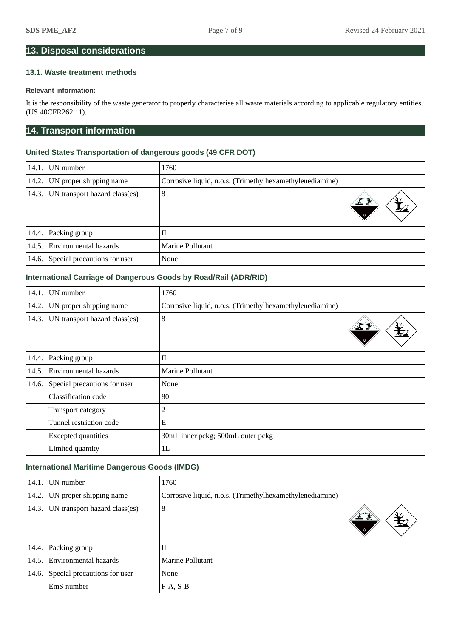# **13. Disposal considerations**

# **13.1. Waste treatment methods**

# **Relevant information:**

It is the responsibility of the waste generator to properly characterise all waste materials according to applicable regulatory entities. (US 40CFR262.11).

# **14. Transport information**

## **United States Transportation of dangerous goods (49 CFR DOT)**

| 14.1. | UN number                           | 1760                                                     |
|-------|-------------------------------------|----------------------------------------------------------|
|       | 14.2. UN proper shipping name       | Corrosive liquid, n.o.s. (Trimethylhexamethylenediamine) |
|       | 14.3. UN transport hazard class(es) | 8<br><u>ے : </u>                                         |
|       | 14.4. Packing group                 | П                                                        |
|       | 14.5. Environmental hazards         | Marine Pollutant                                         |
| 14.6. | Special precautions for user        | None                                                     |

# **International Carriage of Dangerous Goods by Road/Rail (ADR/RID)**

|       | 14.1. UN number                     | 1760                                                     |
|-------|-------------------------------------|----------------------------------------------------------|
|       | 14.2. UN proper shipping name       | Corrosive liquid, n.o.s. (Trimethylhexamethylenediamine) |
|       | 14.3. UN transport hazard class(es) | 8                                                        |
| 14.4. | Packing group                       | $\mathbf{I}$                                             |
| 14.5. | Environmental hazards               | <b>Marine Pollutant</b>                                  |
| 14.6. | Special precautions for user        | None                                                     |
|       | Classification code                 | 80                                                       |
|       | Transport category                  | 2                                                        |
|       | Tunnel restriction code             | E                                                        |
|       | <b>Excepted quantities</b>          | 30mL inner pckg; 500mL outer pckg                        |
|       | Limited quantity                    | 1L                                                       |

# **International Maritime Dangerous Goods (IMDG)**

|       | 14.1. UN number               | 1760                                                     |  |
|-------|-------------------------------|----------------------------------------------------------|--|
|       | 14.2. UN proper shipping name | Corrosive liquid, n.o.s. (Trimethylhexamethylenediamine) |  |
| 14.3. | UN transport hazard class(es) | 8                                                        |  |
|       | 14.4. Packing group           | $_{\rm II}$                                              |  |
|       | 14.5. Environmental hazards   | Marine Pollutant                                         |  |
| 14.6. | Special precautions for user  | None                                                     |  |
|       | EmS number                    | $F-A, S-B$                                               |  |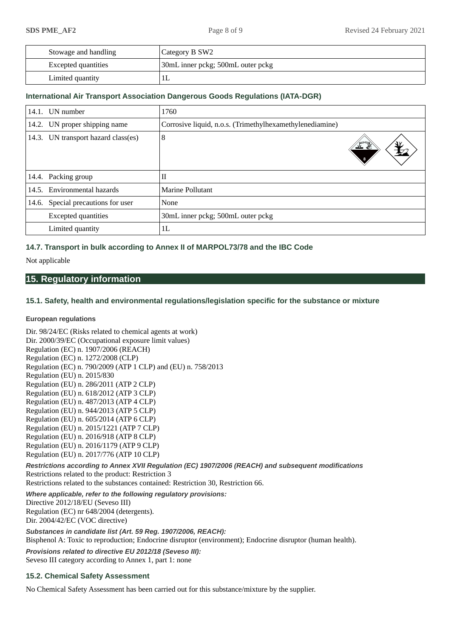| Stowage and handling | Category B SW2                    |
|----------------------|-----------------------------------|
| Excepted quantities  | 30mL inner pckg; 500mL outer pckg |
| Limited quantity     |                                   |

## **International Air Transport Association Dangerous Goods Regulations (IATA-DGR)**

| 14.1. | UN number                           | 1760                                                     |
|-------|-------------------------------------|----------------------------------------------------------|
|       | 14.2. UN proper shipping name       | Corrosive liquid, n.o.s. (Trimethylhexamethylenediamine) |
|       | 14.3. UN transport hazard class(es) | 8                                                        |
|       | 14.4. Packing group                 | $_{\rm II}$                                              |
| 14.5. | Environmental hazards               | Marine Pollutant                                         |
|       | 14.6. Special precautions for user  | None                                                     |
|       | <b>Excepted quantities</b>          | 30mL inner pckg; 500mL outer pckg                        |
|       | Limited quantity                    | 1 <sub>L</sub>                                           |

# **14.7. Transport in bulk according to Annex II of MARPOL73/78 and the IBC Code**

Not applicable

# **15. Regulatory information**

# **15.1. Safety, health and environmental regulations/legislation specific for the substance or mixture**

#### **European regulations**

Dir. 98/24/EC (Risks related to chemical agents at work) Dir. 2000/39/EC (Occupational exposure limit values) Regulation (EC) n. 1907/2006 (REACH) Regulation (EC) n. 1272/2008 (CLP) Regulation (EC) n. 790/2009 (ATP 1 CLP) and (EU) n. 758/2013 Regulation (EU) n. 2015/830 Regulation (EU) n. 286/2011 (ATP 2 CLP) Regulation (EU) n. 618/2012 (ATP 3 CLP) Regulation (EU) n. 487/2013 (ATP 4 CLP) Regulation (EU) n. 944/2013 (ATP 5 CLP) Regulation (EU) n. 605/2014 (ATP 6 CLP) Regulation (EU) n. 2015/1221 (ATP 7 CLP) Regulation (EU) n. 2016/918 (ATP 8 CLP) Regulation (EU) n. 2016/1179 (ATP 9 CLP) Regulation (EU) n. 2017/776 (ATP 10 CLP)

*Restrictions according to Annex XVII Regulation (EC) 1907/2006 (REACH) and subsequent modifications* Restrictions related to the product: Restriction 3

Restrictions related to the substances contained: Restriction 30, Restriction 66.

*Where applicable, refer to the following regulatory provisions:* Directive 2012/18/EU (Seveso III) Regulation (EC) nr 648/2004 (detergents). Dir. 2004/42/EC (VOC directive)

*Substances in candidate list (Art. 59 Reg. 1907/2006, REACH):* Bisphenol A: Toxic to reproduction; Endocrine disruptor (environment); Endocrine disruptor (human health).

*Provisions related to directive EU 2012/18 (Seveso III):* Seveso III category according to Annex 1, part 1: none

# **15.2. Chemical Safety Assessment**

No Chemical Safety Assessment has been carried out for this substance/mixture by the supplier.